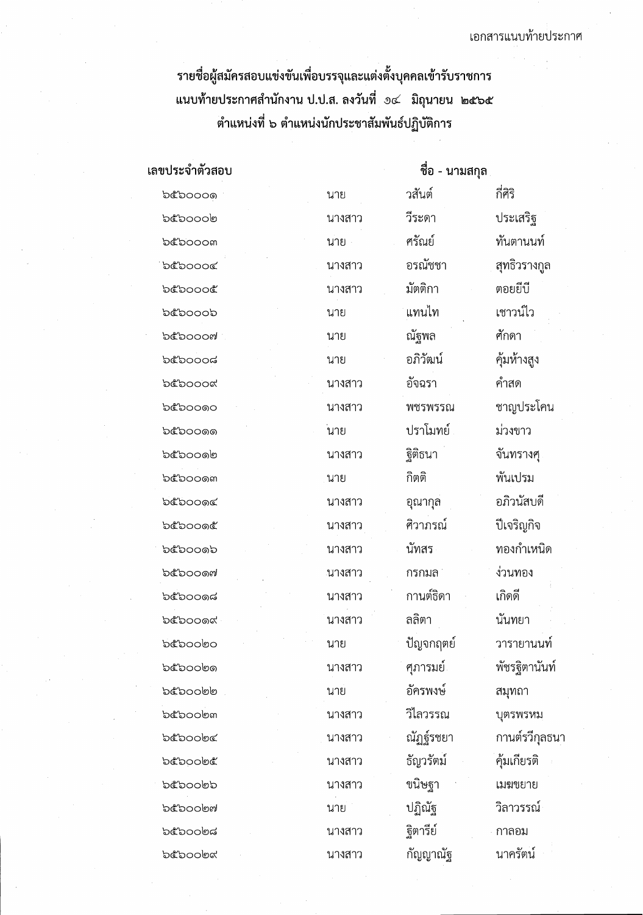รายชื่อผู้สมัครสอบแข่งขันเพื่อบรรจุและแต่งตั้งบุคคลเข้ารับราชการ ้ตำแหน่งที่ ๖ ตำแหน่งนักประชาสัมพันธ์ปฏิบัติการ

เลขประจำตัวสอบ ชื่อ - นามสกุล กี่ศิริ วสันต์ b๕๖๐๐๐๑ นาย วีระดา ประเสริฐ bebooon นางสาว ทันตานนท์ ศรัณย์ boooom นาย อรณัชชา สุทธิวรางกูล bebooog นางสาว มัตติกา ตอยยี่ปี beboooe นางสาว แทนไท เชาวน์ไว อ๕๖๐๐๐๖ นาย ณัฐพล ศักดา **bcbooom** นาย อภิวัฒน์ คุ้มห้างสูง **b**ಲಿಂಂಡ นาย คัลอรา คำสด beboood นางสาว ชาญประโคน ឯ໕ឯດດດດ นางสาว พชรพรรณ ปราโมทย์ ม่วงขาว  $b$ c $b$ o $c$ oo ันาย ฐิติธนา จันทรางศุ อ๕๖๐๐๑๒ นางสาว กิตติ พ้นเปรม **b**¢่อ00ดต นาย อภิวนัสบดี **b๕๖๐๐๑๔** อุณากุล นางสาว ศิวาภรณ์ ปีเจริญกิจ **b๕๖๐๐๑๕** นางสาว ทองกำเหนิด นัทสร **bcbooob** นางสาว ง่วนทอง อ๕๖๐๐๑๗ *ะ*นางสาว กรกมล กานต์ธิดา เกิดดี  $b$ c $b$ o $c$ oga นางสาว ลลิตา บับทยา **bcbooox** นางสาว ปัญจกฤตย์ วารายานนท์ อะอออดอ นาย อ๕๖๐๐๒๑ นางสาว ศุภารมย์ พัชรฐิตานันท์ อัครพงษ์ อ๕๖๐๐๒๒ สมุทถา นาย วิไลวรรณ บุตรพรหม อ๕๖๐๐๒๓ นางสาว ณัฏฐ์รชยา กานต์รวีกุลธนา อ๕๖๐๐๒๔ นางสาว ธัญวรัตม์ คุ้มเกียรติ อะออกดะ นางสาว ขนิษฐา อ๕๖๐๐๒๖ เมฆขยาย นางสาว ปฏิณัฐ วิลาวรรณ์ อ๕๖๐๐๒๗ นาย ฐิตารีย์ **b**¢boo២๘ กาลอม นางสาว กัญญาณัฐ นาครัตน์ **bcboobc** นางสาว